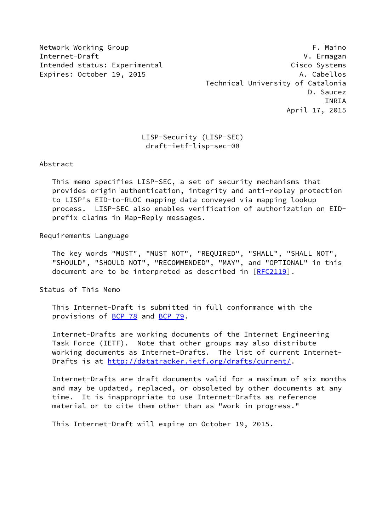Network Working Group **F. Maino** Internet-Draft V. Ermagan Intended status: Experimental Cisco Systems Expires: October 19, 2015 A. Cabellos Technical University of Catalonia D. Saucez INRIA April 17, 2015

# LISP-Security (LISP-SEC) draft-ietf-lisp-sec-08

Abstract

 This memo specifies LISP-SEC, a set of security mechanisms that provides origin authentication, integrity and anti-replay protection to LISP's EID-to-RLOC mapping data conveyed via mapping lookup process. LISP-SEC also enables verification of authorization on EID prefix claims in Map-Reply messages.

Requirements Language

 The key words "MUST", "MUST NOT", "REQUIRED", "SHALL", "SHALL NOT", "SHOULD", "SHOULD NOT", "RECOMMENDED", "MAY", and "OPTIONAL" in this document are to be interpreted as described in [\[RFC2119](https://datatracker.ietf.org/doc/pdf/rfc2119)].

Status of This Memo

 This Internet-Draft is submitted in full conformance with the provisions of [BCP 78](https://datatracker.ietf.org/doc/pdf/bcp78) and [BCP 79](https://datatracker.ietf.org/doc/pdf/bcp79).

 Internet-Drafts are working documents of the Internet Engineering Task Force (IETF). Note that other groups may also distribute working documents as Internet-Drafts. The list of current Internet- Drafts is at<http://datatracker.ietf.org/drafts/current/>.

 Internet-Drafts are draft documents valid for a maximum of six months and may be updated, replaced, or obsoleted by other documents at any time. It is inappropriate to use Internet-Drafts as reference material or to cite them other than as "work in progress."

This Internet-Draft will expire on October 19, 2015.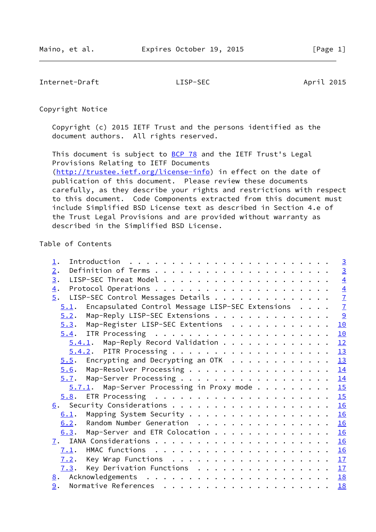Internet-Draft LISP-SEC April 2015

Copyright Notice

 Copyright (c) 2015 IETF Trust and the persons identified as the document authors. All rights reserved.

This document is subject to **[BCP 78](https://datatracker.ietf.org/doc/pdf/bcp78)** and the IETF Trust's Legal Provisions Relating to IETF Documents [\(http://trustee.ietf.org/license-info](http://trustee.ietf.org/license-info)) in effect on the date of publication of this document. Please review these documents carefully, as they describe your rights and restrictions with respect to this document. Code Components extracted from this document must include Simplified BSD License text as described in Section 4.e of the Trust Legal Provisions and are provided without warranty as described in the Simplified BSD License.

# Table of Contents

| $\perp$ .                                                | $\overline{3}$ |
|----------------------------------------------------------|----------------|
| 2.                                                       | $\overline{3}$ |
| 3.                                                       | $\overline{4}$ |
| $\overline{4}$ .                                         |                |
| $\overline{5}$ .<br>LISP-SEC Control Messages Details    | $\frac{4}{7}$  |
| Encapsulated Control Message LISP-SEC Extensions<br>5.1. |                |
| Map-Reply LISP-SEC Extensions<br>5.2.                    | $\frac{9}{2}$  |
| Map-Register LISP-SEC Extentions<br>5.3.                 | 10             |
|                                                          | 10             |
| $5.4.1$ . Map-Reply Record Validation                    | 12             |
|                                                          | 13             |
| $5.5$ . Encrypting and Decrypting an OTK 13              |                |
| Map-Resolver Processing 14<br>5.6.                       |                |
| 5.7. Map-Server Processing 14                            |                |
| $5.7.1$ . Map-Server Processing in Proxy mode 15         |                |
|                                                          |                |
|                                                          | 16             |
| Mapping System Security 16<br>6.1.                       |                |
| Random Number Generation<br>6.2.                         | 16             |
| Map-Server and ETR Colocation<br>6.3.                    | 16             |
|                                                          | 16             |
| 7.1.                                                     |                |
| Key Wrap Functions 17<br>7.2.                            |                |
| Key Derivation Functions $\cdots$ 17<br>7.3.             |                |
|                                                          | 18             |
| 9.                                                       | 18             |
|                                                          |                |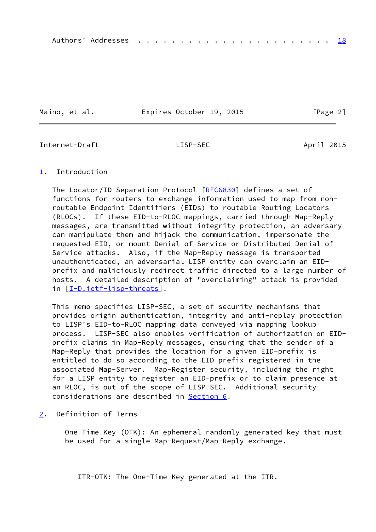Maino, et al. **Expires October 19, 2015** [Page 2]

<span id="page-2-1"></span>Internet-Draft LISP-SEC April 2015

## <span id="page-2-0"></span>[1](#page-2-0). Introduction

The Locator/ID Separation Protocol [[RFC6830\]](https://datatracker.ietf.org/doc/pdf/rfc6830) defines a set of functions for routers to exchange information used to map from non routable Endpoint Identifiers (EIDs) to routable Routing Locators (RLOCs). If these EID-to-RLOC mappings, carried through Map-Reply messages, are transmitted without integrity protection, an adversary can manipulate them and hijack the communication, impersonate the requested EID, or mount Denial of Service or Distributed Denial of Service attacks. Also, if the Map-Reply message is transported unauthenticated, an adversarial LISP entity can overclaim an EID prefix and maliciously redirect traffic directed to a large number of hosts. A detailed description of "overclaiming" attack is provided in [[I-D.ietf-lisp-threats\]](#page-19-3).

 This memo specifies LISP-SEC, a set of security mechanisms that provides origin authentication, integrity and anti-replay protection to LISP's EID-to-RLOC mapping data conveyed via mapping lookup process. LISP-SEC also enables verification of authorization on EID prefix claims in Map-Reply messages, ensuring that the sender of a Map-Reply that provides the location for a given EID-prefix is entitled to do so according to the EID prefix registered in the associated Map-Server. Map-Register security, including the right for a LISP entity to register an EID-prefix or to claim presence at an RLOC, is out of the scope of LISP-SEC. Additional security considerations are described in [Section 6](#page-17-0).

<span id="page-2-2"></span>[2](#page-2-2). Definition of Terms

 One-Time Key (OTK): An ephemeral randomly generated key that must be used for a single Map-Request/Map-Reply exchange.

ITR-OTK: The One-Time Key generated at the ITR.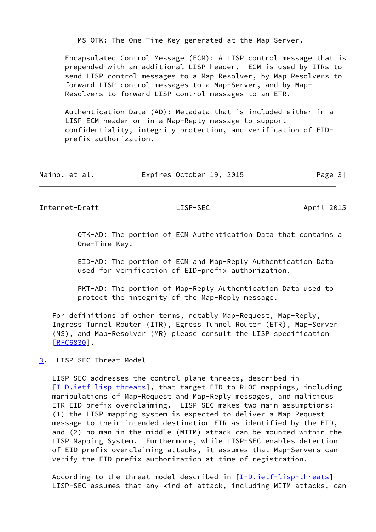MS-OTK: The One-Time Key generated at the Map-Server.

 Encapsulated Control Message (ECM): A LISP control message that is prepended with an additional LISP header. ECM is used by ITRs to send LISP control messages to a Map-Resolver, by Map-Resolvers to forward LISP control messages to a Map-Server, and by Map- Resolvers to forward LISP control messages to an ETR.

 Authentication Data (AD): Metadata that is included either in a LISP ECM header or in a Map-Reply message to support confidentiality, integrity protection, and verification of EID prefix authorization.

| Maino, et al. | Expires October 19, 2015 | [Page 3] |
|---------------|--------------------------|----------|
|---------------|--------------------------|----------|

<span id="page-3-1"></span>Internet-Draft LISP-SEC April 2015

 OTK-AD: The portion of ECM Authentication Data that contains a One-Time Key.

 EID-AD: The portion of ECM and Map-Reply Authentication Data used for verification of EID-prefix authorization.

 PKT-AD: The portion of Map-Reply Authentication Data used to protect the integrity of the Map-Reply message.

 For definitions of other terms, notably Map-Request, Map-Reply, Ingress Tunnel Router (ITR), Egress Tunnel Router (ETR), Map-Server (MS), and Map-Resolver (MR) please consult the LISP specification [\[RFC6830](https://datatracker.ietf.org/doc/pdf/rfc6830)].

<span id="page-3-0"></span>[3](#page-3-0). LISP-SEC Threat Model

 LISP-SEC addresses the control plane threats, described in [\[I-D.ietf-lisp-threats](#page-19-3)], that target EID-to-RLOC mappings, including manipulations of Map-Request and Map-Reply messages, and malicious ETR EID prefix overclaiming. LISP-SEC makes two main assumptions: (1) the LISP mapping system is expected to deliver a Map-Request message to their intended destination ETR as identified by the EID, and (2) no man-in-the-middle (MITM) attack can be mounted within the LISP Mapping System. Furthermore, while LISP-SEC enables detection of EID prefix overclaiming attacks, it assumes that Map-Servers can verify the EID prefix authorization at time of registration.

 According to the threat model described in [[I-D.ietf-lisp-threats\]](#page-19-3) LISP-SEC assumes that any kind of attack, including MITM attacks, can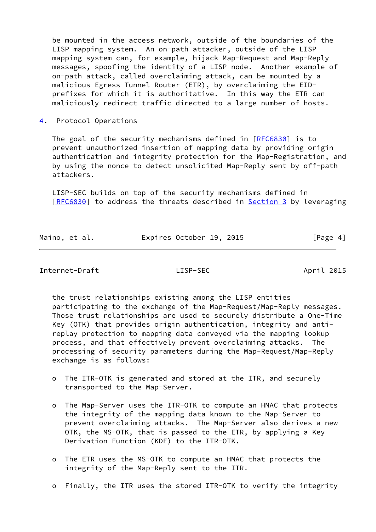be mounted in the access network, outside of the boundaries of the LISP mapping system. An on-path attacker, outside of the LISP mapping system can, for example, hijack Map-Request and Map-Reply messages, spoofing the identity of a LISP node. Another example of on-path attack, called overclaiming attack, can be mounted by a malicious Egress Tunnel Router (ETR), by overclaiming the EID prefixes for which it is authoritative. In this way the ETR can maliciously redirect traffic directed to a large number of hosts.

<span id="page-4-0"></span>[4](#page-4-0). Protocol Operations

The goal of the security mechanisms defined in  $[REC6830]$  is to prevent unauthorized insertion of mapping data by providing origin authentication and integrity protection for the Map-Registration, and by using the nonce to detect unsolicited Map-Reply sent by off-path attackers.

 LISP-SEC builds on top of the security mechanisms defined in [\[RFC6830](https://datatracker.ietf.org/doc/pdf/rfc6830)] to address the threats described in [Section 3](#page-3-0) by leveraging

| Maino, et al. | Expires October 19, 2015 | [Page 4] |
|---------------|--------------------------|----------|

Internet-Draft LISP-SEC April 2015

 the trust relationships existing among the LISP entities participating to the exchange of the Map-Request/Map-Reply messages. Those trust relationships are used to securely distribute a One-Time Key (OTK) that provides origin authentication, integrity and anti replay protection to mapping data conveyed via the mapping lookup process, and that effectively prevent overclaiming attacks. The processing of security parameters during the Map-Request/Map-Reply exchange is as follows:

- o The ITR-OTK is generated and stored at the ITR, and securely transported to the Map-Server.
- o The Map-Server uses the ITR-OTK to compute an HMAC that protects the integrity of the mapping data known to the Map-Server to prevent overclaiming attacks. The Map-Server also derives a new OTK, the MS-OTK, that is passed to the ETR, by applying a Key Derivation Function (KDF) to the ITR-OTK.
- o The ETR uses the MS-OTK to compute an HMAC that protects the integrity of the Map-Reply sent to the ITR.
- o Finally, the ITR uses the stored ITR-OTK to verify the integrity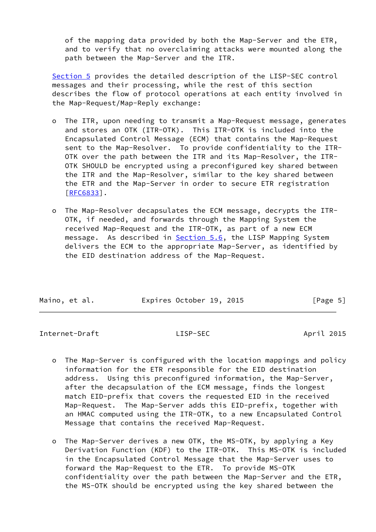of the mapping data provided by both the Map-Server and the ETR, and to verify that no overclaiming attacks were mounted along the path between the Map-Server and the ITR.

 [Section 5](#page-6-0) provides the detailed description of the LISP-SEC control messages and their processing, while the rest of this section describes the flow of protocol operations at each entity involved in the Map-Request/Map-Reply exchange:

- o The ITR, upon needing to transmit a Map-Request message, generates and stores an OTK (ITR-OTK). This ITR-OTK is included into the Encapsulated Control Message (ECM) that contains the Map-Request sent to the Map-Resolver. To provide confidentiality to the ITR- OTK over the path between the ITR and its Map-Resolver, the ITR- OTK SHOULD be encrypted using a preconfigured key shared between the ITR and the Map-Resolver, similar to the key shared between the ETR and the Map-Server in order to secure ETR registration [[RFC6833\]](https://datatracker.ietf.org/doc/pdf/rfc6833).
- o The Map-Resolver decapsulates the ECM message, decrypts the ITR- OTK, if needed, and forwards through the Mapping System the received Map-Request and the ITR-OTK, as part of a new ECM message. As described in **Section 5.6**, the LISP Mapping System delivers the ECM to the appropriate Map-Server, as identified by the EID destination address of the Map-Request.

| Maino, et al. |  | Expires October 19, 2015 |  | [Page 5] |  |
|---------------|--|--------------------------|--|----------|--|

Internet-Draft LISP-SEC April 2015

- o The Map-Server is configured with the location mappings and policy information for the ETR responsible for the EID destination address. Using this preconfigured information, the Map-Server, after the decapsulation of the ECM message, finds the longest match EID-prefix that covers the requested EID in the received Map-Request. The Map-Server adds this EID-prefix, together with an HMAC computed using the ITR-OTK, to a new Encapsulated Control Message that contains the received Map-Request.
- o The Map-Server derives a new OTK, the MS-OTK, by applying a Key Derivation Function (KDF) to the ITR-OTK. This MS-OTK is included in the Encapsulated Control Message that the Map-Server uses to forward the Map-Request to the ETR. To provide MS-OTK confidentiality over the path between the Map-Server and the ETR, the MS-OTK should be encrypted using the key shared between the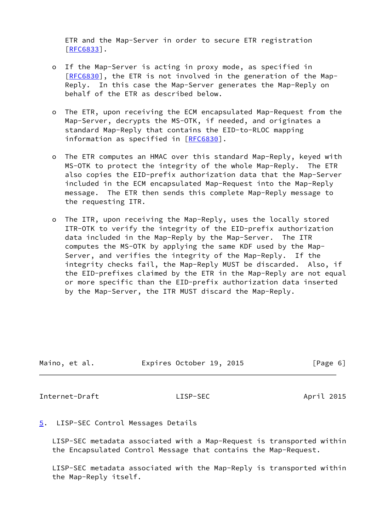ETR and the Map-Server in order to secure ETR registration [[RFC6833\]](https://datatracker.ietf.org/doc/pdf/rfc6833).

- o If the Map-Server is acting in proxy mode, as specified in [[RFC6830\]](https://datatracker.ietf.org/doc/pdf/rfc6830), the ETR is not involved in the generation of the Map- Reply. In this case the Map-Server generates the Map-Reply on behalf of the ETR as described below.
- o The ETR, upon receiving the ECM encapsulated Map-Request from the Map-Server, decrypts the MS-OTK, if needed, and originates a standard Map-Reply that contains the EID-to-RLOC mapping information as specified in [\[RFC6830](https://datatracker.ietf.org/doc/pdf/rfc6830)].
- o The ETR computes an HMAC over this standard Map-Reply, keyed with MS-OTK to protect the integrity of the whole Map-Reply. The ETR also copies the EID-prefix authorization data that the Map-Server included in the ECM encapsulated Map-Request into the Map-Reply message. The ETR then sends this complete Map-Reply message to the requesting ITR.
- o The ITR, upon receiving the Map-Reply, uses the locally stored ITR-OTK to verify the integrity of the EID-prefix authorization data included in the Map-Reply by the Map-Server. The ITR computes the MS-OTK by applying the same KDF used by the Map- Server, and verifies the integrity of the Map-Reply. If the integrity checks fail, the Map-Reply MUST be discarded. Also, if the EID-prefixes claimed by the ETR in the Map-Reply are not equal or more specific than the EID-prefix authorization data inserted by the Map-Server, the ITR MUST discard the Map-Reply.

| Maino, et al. | Expires October 19, 2015 | [Page 6] |
|---------------|--------------------------|----------|
|               |                          |          |

<span id="page-6-1"></span>Internet-Draft LISP-SEC April 2015

# <span id="page-6-0"></span>[5](#page-6-0). LISP-SEC Control Messages Details

 LISP-SEC metadata associated with a Map-Request is transported within the Encapsulated Control Message that contains the Map-Request.

 LISP-SEC metadata associated with the Map-Reply is transported within the Map-Reply itself.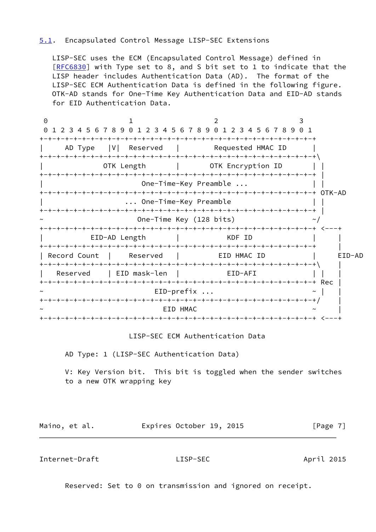## <span id="page-7-0"></span>[5.1](#page-7-0). Encapsulated Control Message LISP-SEC Extensions

 LISP-SEC uses the ECM (Encapsulated Control Message) defined in [\[RFC6830](https://datatracker.ietf.org/doc/pdf/rfc6830)] with Type set to 8, and S bit set to 1 to indicate that the LISP header includes Authentication Data (AD). The format of the LISP-SEC ECM Authentication Data is defined in the following figure. OTK-AD stands for One-Time Key Authentication Data and EID-AD stands for EID Authentication Data.

0 1 2 3 0 1 2 3 4 5 6 7 8 9 0 1 2 3 4 5 6 7 8 9 0 1 2 3 4 5 6 7 8 9 0 1 +-+-+-+-+-+-+-+-+-+-+-+-+-+-+-+-+-+-+-+-+-+-+-+-+-+-+-+-+-+-+-+-+ AD Type |V| Reserved | Requested HMAC ID +-+-+-+-+-+-+-+-+-+-+-+-+-+-+-+-+-+-+-+-+-+-+-+-+-+-+-+-+-+-+-+-+\ OTK Length | OTK Encryption ID | | +-+-+-+-+-+-+-+-+-+-+-+-+-+-+-+-+-+-+-+-+-+-+-+-+-+-+-+-+-+-+-+-+ | One-Time-Key Preamble ... +-+-+-+-+-+-+-+-+-+-+-+-+-+-+-+-+-+-+-+-+-+-+-+-+-+-+-+-+-+-+-+-+ OTK-AD | ... One-Time-Key Preamble | | +-+-+-+-+-+-+-+-+-+-+-+-+-+-+-+-+-+-+-+-+-+-+-+-+-+-+-+-+-+-+-+-+ | One-Time Key (128 bits)  $\sim$ / +-+-+-+-+-+-+-+-+-+-+-+-+-+-+-+-+-+-+-+-+-+-+-+-+-+-+-+-+-+-+-+-+ <---+ EID-AD Length | KDF ID +-+-+-+-+-+-+-+-+-+-+-+-+-+-+-+-+-+-+-+-+-+-+-+-+-+-+-+-+-+-+-+-+ | | Record Count | Reserved | EID HMAC ID | EID-AD +-+-+-+-+-+-+-+-+-+-+-+-+-+-+-+-+-+-+-+-+-+-+-+-+-+-+-+-+-+-+-+-+\ | Reserved | EID mask-len | EID-AFI | | +-+-+-+-+-+-+-+-+-+-+-+-+-+-+-+-+-+-+-+-+-+-+-+-+-+-+-+-+-+-+-+-+ Rec |  $EID-prefix$  ...  $\sim$  | +-+-+-+-+-+-+-+-+-+-+-+-+-+-+-+-+-+-+-+-+-+-+-+-+-+-+-+-+-+-+-+-+/ |  $\sim$   $\sim$   $\sim$   $\sim$   $\sim$   $\sim$   $\sim$ +-+-+-+-+-+-+-+-+-+-+-+-+-+-+-+-+-+-+-+-+-+-+-+-+-+-+-+-+-+-+-+-+ <---+

LISP-SEC ECM Authentication Data

AD Type: 1 (LISP-SEC Authentication Data)

 V: Key Version bit. This bit is toggled when the sender switches to a new OTK wrapping key

Maino, et al. **Expires October 19, 2015** [Page 7]

Internet-Draft LISP-SEC April 2015

Reserved: Set to 0 on transmission and ignored on receipt.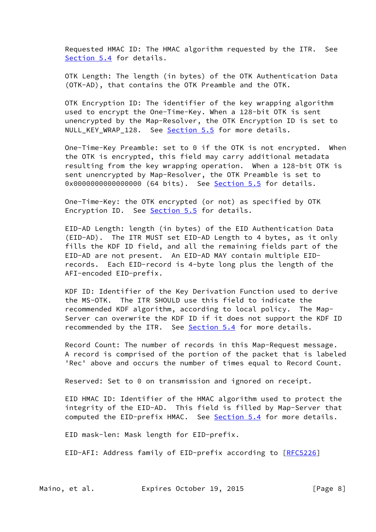Requested HMAC ID: The HMAC algorithm requested by the ITR. See [Section 5.4](#page-11-0) for details.

 OTK Length: The length (in bytes) of the OTK Authentication Data (OTK-AD), that contains the OTK Preamble and the OTK.

 OTK Encryption ID: The identifier of the key wrapping algorithm used to encrypt the One-Time-Key. When a 128-bit OTK is sent unencrypted by the Map-Resolver, the OTK Encryption ID is set to NULL\_KEY\_WRAP\_128. See [Section 5.5](#page-14-1) for more details.

 One-Time-Key Preamble: set to 0 if the OTK is not encrypted. When the OTK is encrypted, this field may carry additional metadata resulting from the key wrapping operation. When a 128-bit OTK is sent unencrypted by Map-Resolver, the OTK Preamble is set to 0x0000000000000000 (64 bits). See **Section 5.5** for details.

 One-Time-Key: the OTK encrypted (or not) as specified by OTK Encryption ID. See [Section 5.5](#page-14-1) for details.

 EID-AD Length: length (in bytes) of the EID Authentication Data (EID-AD). The ITR MUST set EID-AD Length to 4 bytes, as it only fills the KDF ID field, and all the remaining fields part of the EID-AD are not present. An EID-AD MAY contain multiple EID records. Each EID-record is 4-byte long plus the length of the AFI-encoded EID-prefix.

 KDF ID: Identifier of the Key Derivation Function used to derive the MS-OTK. The ITR SHOULD use this field to indicate the recommended KDF algorithm, according to local policy. The Map- Server can overwrite the KDF ID if it does not support the KDF ID recommended by the ITR. See [Section 5.4](#page-11-0) for more details.

 Record Count: The number of records in this Map-Request message. A record is comprised of the portion of the packet that is labeled 'Rec' above and occurs the number of times equal to Record Count.

Reserved: Set to 0 on transmission and ignored on receipt.

 EID HMAC ID: Identifier of the HMAC algorithm used to protect the integrity of the EID-AD. This field is filled by Map-Server that computed the EID-prefix HMAC. See [Section 5.4](#page-11-0) for more details.

EID mask-len: Mask length for EID-prefix.

EID-AFI: Address family of EID-prefix according to [[RFC5226](https://datatracker.ietf.org/doc/pdf/rfc5226)]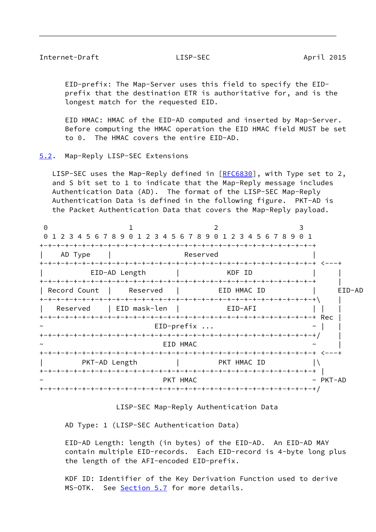### <span id="page-9-1"></span>Internet-Draft LISP-SEC April 2015

 EID-prefix: The Map-Server uses this field to specify the EID prefix that the destination ETR is authoritative for, and is the longest match for the requested EID.

 EID HMAC: HMAC of the EID-AD computed and inserted by Map-Server. Before computing the HMAC operation the EID HMAC field MUST be set to 0. The HMAC covers the entire EID-AD.

<span id="page-9-0"></span>[5.2](#page-9-0). Map-Reply LISP-SEC Extensions

LISP-SEC uses the Map-Reply defined in [\[RFC6830](https://datatracker.ietf.org/doc/pdf/rfc6830)], with Type set to 2, and S bit set to 1 to indicate that the Map-Reply message includes Authentication Data (AD). The format of the LISP-SEC Map-Reply Authentication Data is defined in the following figure. PKT-AD is the Packet Authentication Data that covers the Map-Reply payload.

| $\Theta$     |               | 0 1 2 3 4 5 6 7 8 9 0 1 2 3 4 5 6 7 8 9 0 1 2 3 4 5 6 7 8 9 0 1 |                |        |
|--------------|---------------|-----------------------------------------------------------------|----------------|--------|
| AD Type      |               | Reserved                                                        |                |        |
|              | EID-AD Length | KDF ID                                                          |                |        |
| Record Count | Reserved      | EID HMAC ID                                                     |                | EID-AD |
| Reserved     | EID mask-len  | EID-AFI                                                         |                |        |
|              |               | $EID-prefix $                                                   |                |        |
| $\sim$       |               | EID HMAC                                                        |                |        |
|              | PKT-AD Length | <b>EXAMPLE THE PKT HMAC ID</b>                                  |                |        |
|              |               | PKT HMAC                                                        | $~\sim$ PKT-AD |        |
|              |               |                                                                 |                |        |

LISP-SEC Map-Reply Authentication Data

AD Type: 1 (LISP-SEC Authentication Data)

 EID-AD Length: length (in bytes) of the EID-AD. An EID-AD MAY contain multiple EID-records. Each EID-record is 4-byte long plus the length of the AFI-encoded EID-prefix.

 KDF ID: Identifier of the Key Derivation Function used to derive MS-OTK. See [Section 5.7](#page-15-0) for more details.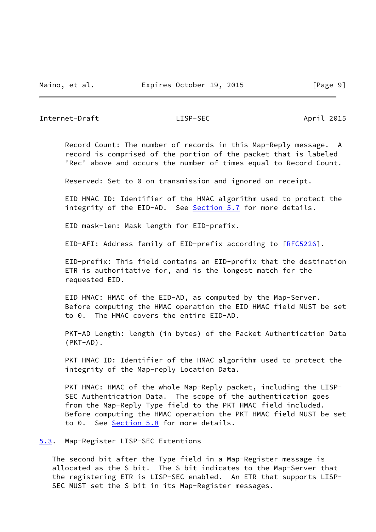<span id="page-10-1"></span>Internet-Draft LISP-SEC April 2015

 Record Count: The number of records in this Map-Reply message. A record is comprised of the portion of the packet that is labeled 'Rec' above and occurs the number of times equal to Record Count.

Reserved: Set to 0 on transmission and ignored on receipt.

 EID HMAC ID: Identifier of the HMAC algorithm used to protect the integrity of the EID-AD. See [Section 5.7](#page-15-0) for more details.

EID mask-len: Mask length for EID-prefix.

EID-AFI: Address family of EID-prefix according to [[RFC5226](https://datatracker.ietf.org/doc/pdf/rfc5226)].

 EID-prefix: This field contains an EID-prefix that the destination ETR is authoritative for, and is the longest match for the requested EID.

 EID HMAC: HMAC of the EID-AD, as computed by the Map-Server. Before computing the HMAC operation the EID HMAC field MUST be set to 0. The HMAC covers the entire EID-AD.

 PKT-AD Length: length (in bytes) of the Packet Authentication Data (PKT-AD).

PKT HMAC ID: Identifier of the HMAC algorithm used to protect the integrity of the Map-reply Location Data.

 PKT HMAC: HMAC of the whole Map-Reply packet, including the LISP- SEC Authentication Data. The scope of the authentication goes from the Map-Reply Type field to the PKT HMAC field included. Before computing the HMAC operation the PKT HMAC field MUST be set to 0. See [Section 5.8](#page-16-1) for more details.

<span id="page-10-0"></span>[5.3](#page-10-0). Map-Register LISP-SEC Extentions

 The second bit after the Type field in a Map-Register message is allocated as the S bit. The S bit indicates to the Map-Server that the registering ETR is LISP-SEC enabled. An ETR that supports LISP- SEC MUST set the S bit in its Map-Register messages.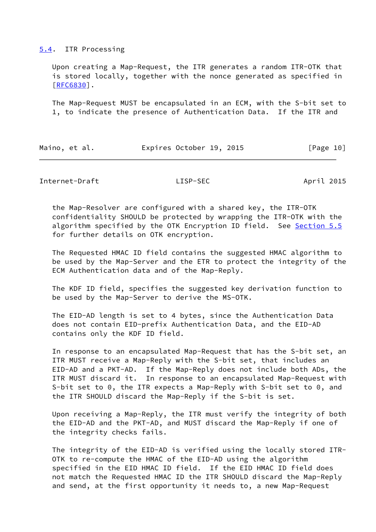### <span id="page-11-0"></span>[5.4](#page-11-0). ITR Processing

 Upon creating a Map-Request, the ITR generates a random ITR-OTK that is stored locally, together with the nonce generated as specified in [\[RFC6830](https://datatracker.ietf.org/doc/pdf/rfc6830)].

 The Map-Request MUST be encapsulated in an ECM, with the S-bit set to 1, to indicate the presence of Authentication Data. If the ITR and

| Maino, et al. |  | Expires October 19, 2015 | [Page 10] |  |
|---------------|--|--------------------------|-----------|--|
|               |  |                          |           |  |

Internet-Draft LISP-SEC April 2015

 the Map-Resolver are configured with a shared key, the ITR-OTK confidentiality SHOULD be protected by wrapping the ITR-OTK with the algorithm specified by the OTK Encryption ID field. See [Section 5.5](#page-14-1) for further details on OTK encryption.

 The Requested HMAC ID field contains the suggested HMAC algorithm to be used by the Map-Server and the ETR to protect the integrity of the ECM Authentication data and of the Map-Reply.

 The KDF ID field, specifies the suggested key derivation function to be used by the Map-Server to derive the MS-OTK.

 The EID-AD length is set to 4 bytes, since the Authentication Data does not contain EID-prefix Authentication Data, and the EID-AD contains only the KDF ID field.

 In response to an encapsulated Map-Request that has the S-bit set, an ITR MUST receive a Map-Reply with the S-bit set, that includes an EID-AD and a PKT-AD. If the Map-Reply does not include both ADs, the ITR MUST discard it. In response to an encapsulated Map-Request with S-bit set to 0, the ITR expects a Map-Reply with S-bit set to 0, and the ITR SHOULD discard the Map-Reply if the S-bit is set.

 Upon receiving a Map-Reply, the ITR must verify the integrity of both the EID-AD and the PKT-AD, and MUST discard the Map-Reply if one of the integrity checks fails.

 The integrity of the EID-AD is verified using the locally stored ITR- OTK to re-compute the HMAC of the EID-AD using the algorithm specified in the EID HMAC ID field. If the EID HMAC ID field does not match the Requested HMAC ID the ITR SHOULD discard the Map-Reply and send, at the first opportunity it needs to, a new Map-Request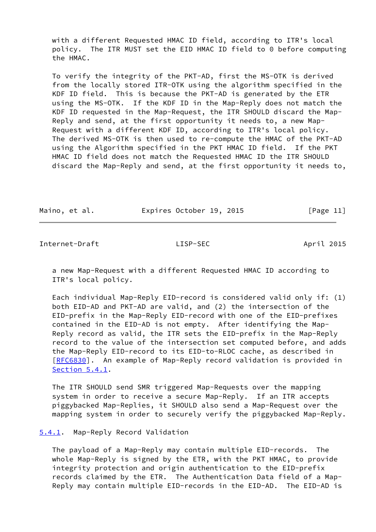with a different Requested HMAC ID field, according to ITR's local policy. The ITR MUST set the EID HMAC ID field to 0 before computing the HMAC.

 To verify the integrity of the PKT-AD, first the MS-OTK is derived from the locally stored ITR-OTK using the algorithm specified in the KDF ID field. This is because the PKT-AD is generated by the ETR using the MS-OTK. If the KDF ID in the Map-Reply does not match the KDF ID requested in the Map-Request, the ITR SHOULD discard the Map- Reply and send, at the first opportunity it needs to, a new Map- Request with a different KDF ID, according to ITR's local policy. The derived MS-OTK is then used to re-compute the HMAC of the PKT-AD using the Algorithm specified in the PKT HMAC ID field. If the PKT HMAC ID field does not match the Requested HMAC ID the ITR SHOULD discard the Map-Reply and send, at the first opportunity it needs to,

| Maino, et al. |  | Expires October 19, 2015 |  | [Page 11] |  |
|---------------|--|--------------------------|--|-----------|--|
|               |  |                          |  |           |  |

<span id="page-12-1"></span>Internet-Draft LISP-SEC April 2015

 a new Map-Request with a different Requested HMAC ID according to ITR's local policy.

 Each individual Map-Reply EID-record is considered valid only if: (1) both EID-AD and PKT-AD are valid, and (2) the intersection of the EID-prefix in the Map-Reply EID-record with one of the EID-prefixes contained in the EID-AD is not empty. After identifying the Map- Reply record as valid, the ITR sets the EID-prefix in the Map-Reply record to the value of the intersection set computed before, and adds the Map-Reply EID-record to its EID-to-RLOC cache, as described in [\[RFC6830](https://datatracker.ietf.org/doc/pdf/rfc6830)]. An example of Map-Reply record validation is provided in [Section 5.4.1](#page-12-0).

 The ITR SHOULD send SMR triggered Map-Requests over the mapping system in order to receive a secure Map-Reply. If an ITR accepts piggybacked Map-Replies, it SHOULD also send a Map-Request over the mapping system in order to securely verify the piggybacked Map-Reply.

## <span id="page-12-0"></span>[5.4.1](#page-12-0). Map-Reply Record Validation

 The payload of a Map-Reply may contain multiple EID-records. The whole Map-Reply is signed by the ETR, with the PKT HMAC, to provide integrity protection and origin authentication to the EID-prefix records claimed by the ETR. The Authentication Data field of a Map- Reply may contain multiple EID-records in the EID-AD. The EID-AD is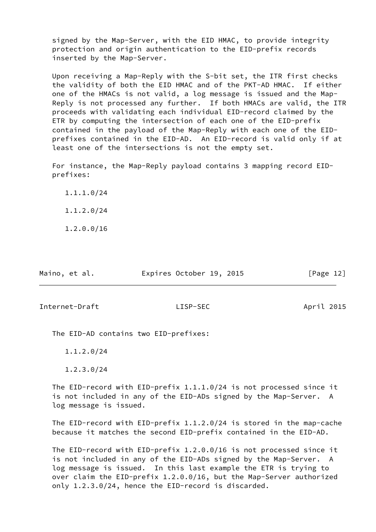signed by the Map-Server, with the EID HMAC, to provide integrity protection and origin authentication to the EID-prefix records inserted by the Map-Server.

 Upon receiving a Map-Reply with the S-bit set, the ITR first checks the validity of both the EID HMAC and of the PKT-AD HMAC. If either one of the HMACs is not valid, a log message is issued and the Map- Reply is not processed any further. If both HMACs are valid, the ITR proceeds with validating each individual EID-record claimed by the ETR by computing the intersection of each one of the EID-prefix contained in the payload of the Map-Reply with each one of the EID prefixes contained in the EID-AD. An EID-record is valid only if at least one of the intersections is not the empty set.

 For instance, the Map-Reply payload contains 3 mapping record EID prefixes:

 1.1.1.0/24 1.1.2.0/24

1.2.0.0/16

| Maino, et al. | Expires October 19, 2015 |  | [Page 12] |  |
|---------------|--------------------------|--|-----------|--|
|               |                          |  |           |  |

<span id="page-13-0"></span>Internet-Draft LISP-SEC April 2015

The EID-AD contains two EID-prefixes:

1.1.2.0/24

1.2.3.0/24

 The EID-record with EID-prefix 1.1.1.0/24 is not processed since it is not included in any of the EID-ADs signed by the Map-Server. A log message is issued.

 The EID-record with EID-prefix 1.1.2.0/24 is stored in the map-cache because it matches the second EID-prefix contained in the EID-AD.

 The EID-record with EID-prefix 1.2.0.0/16 is not processed since it is not included in any of the EID-ADs signed by the Map-Server. A log message is issued. In this last example the ETR is trying to over claim the EID-prefix 1.2.0.0/16, but the Map-Server authorized only 1.2.3.0/24, hence the EID-record is discarded.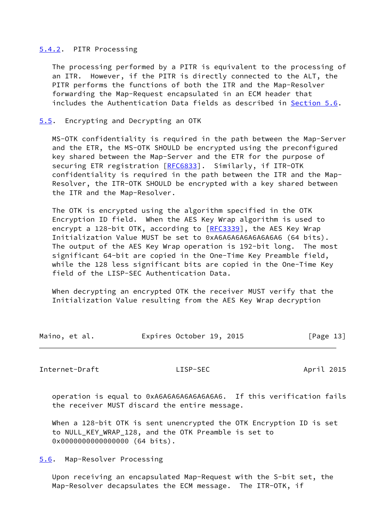## <span id="page-14-0"></span>[5.4.2](#page-14-0). PITR Processing

 The processing performed by a PITR is equivalent to the processing of an ITR. However, if the PITR is directly connected to the ALT, the PITR performs the functions of both the ITR and the Map-Resolver forwarding the Map-Request encapsulated in an ECM header that includes the Authentication Data fields as described in [Section 5.6](#page-14-2).

### <span id="page-14-1"></span>[5.5](#page-14-1). Encrypting and Decrypting an OTK

 MS-OTK confidentiality is required in the path between the Map-Server and the ETR, the MS-OTK SHOULD be encrypted using the preconfigured key shared between the Map-Server and the ETR for the purpose of securing ETR registration [[RFC6833](https://datatracker.ietf.org/doc/pdf/rfc6833)]. Similarly, if ITR-OTK confidentiality is required in the path between the ITR and the Map- Resolver, the ITR-OTK SHOULD be encrypted with a key shared between the ITR and the Map-Resolver.

 The OTK is encrypted using the algorithm specified in the OTK Encryption ID field. When the AES Key Wrap algorithm is used to encrypt a 128-bit OTK, according to [\[RFC3339](https://datatracker.ietf.org/doc/pdf/rfc3339)], the AES Key Wrap Initialization Value MUST be set to 0xA6A6A6A6A6A6A6A6 (64 bits). The output of the AES Key Wrap operation is 192-bit long. The most significant 64-bit are copied in the One-Time Key Preamble field, while the 128 less significant bits are copied in the One-Time Key field of the LISP-SEC Authentication Data.

 When decrypting an encrypted OTK the receiver MUST verify that the Initialization Value resulting from the AES Key Wrap decryption

| Maino, et al. | Expires October 19, 2015 | [Page 13] |
|---------------|--------------------------|-----------|

<span id="page-14-3"></span>Internet-Draft LISP-SEC April 2015

 operation is equal to 0xA6A6A6A6A6A6A6A6. If this verification fails the receiver MUST discard the entire message.

 When a 128-bit OTK is sent unencrypted the OTK Encryption ID is set to NULL\_KEY\_WRAP\_128, and the OTK Preamble is set to 0x00000000000000000 (64 bits).

<span id="page-14-2"></span>[5.6](#page-14-2). Map-Resolver Processing

 Upon receiving an encapsulated Map-Request with the S-bit set, the Map-Resolver decapsulates the ECM message. The ITR-OTK, if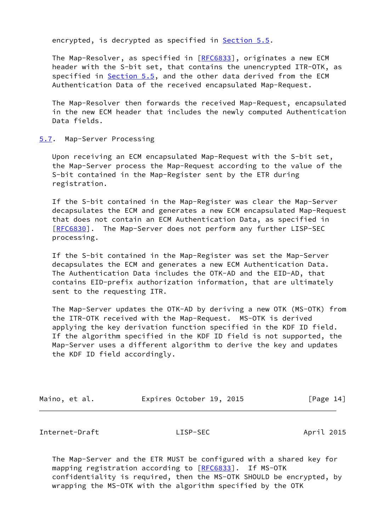encrypted, is decrypted as specified in [Section 5.5](#page-14-1).

 The Map-Resolver, as specified in [[RFC6833](https://datatracker.ietf.org/doc/pdf/rfc6833)], originates a new ECM header with the S-bit set, that contains the unencrypted ITR-OTK, as specified in [Section 5.5](#page-14-1), and the other data derived from the ECM Authentication Data of the received encapsulated Map-Request.

 The Map-Resolver then forwards the received Map-Request, encapsulated in the new ECM header that includes the newly computed Authentication Data fields.

### <span id="page-15-0"></span>[5.7](#page-15-0). Map-Server Processing

 Upon receiving an ECM encapsulated Map-Request with the S-bit set, the Map-Server process the Map-Request according to the value of the S-bit contained in the Map-Register sent by the ETR during registration.

 If the S-bit contained in the Map-Register was clear the Map-Server decapsulates the ECM and generates a new ECM encapsulated Map-Request that does not contain an ECM Authentication Data, as specified in [\[RFC6830](https://datatracker.ietf.org/doc/pdf/rfc6830)]. The Map-Server does not perform any further LISP-SEC processing.

 If the S-bit contained in the Map-Register was set the Map-Server decapsulates the ECM and generates a new ECM Authentication Data. The Authentication Data includes the OTK-AD and the EID-AD, that contains EID-prefix authorization information, that are ultimately sent to the requesting ITR.

 The Map-Server updates the OTK-AD by deriving a new OTK (MS-OTK) from the ITR-OTK received with the Map-Request. MS-OTK is derived applying the key derivation function specified in the KDF ID field. If the algorithm specified in the KDF ID field is not supported, the Map-Server uses a different algorithm to derive the key and updates the KDF ID field accordingly.

| Maino, et al. |  | Expires October 19, 2015 |  | [Page 14] |  |
|---------------|--|--------------------------|--|-----------|--|
|---------------|--|--------------------------|--|-----------|--|

<span id="page-15-1"></span>Internet-Draft LISP-SEC April 2015

 The Map-Server and the ETR MUST be configured with a shared key for mapping registration according to [[RFC6833](https://datatracker.ietf.org/doc/pdf/rfc6833)]. If MS-OTK confidentiality is required, then the MS-OTK SHOULD be encrypted, by wrapping the MS-OTK with the algorithm specified by the OTK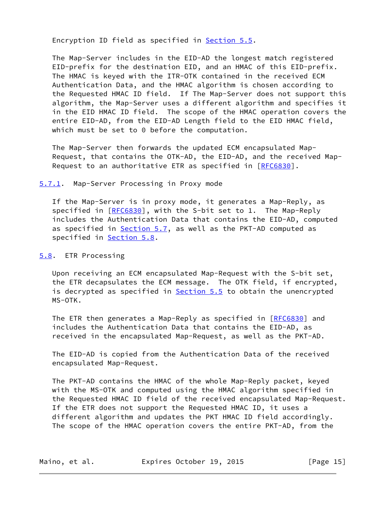Encryption ID field as specified in [Section 5.5.](#page-14-1)

 The Map-Server includes in the EID-AD the longest match registered EID-prefix for the destination EID, and an HMAC of this EID-prefix. The HMAC is keyed with the ITR-OTK contained in the received ECM Authentication Data, and the HMAC algorithm is chosen according to the Requested HMAC ID field. If The Map-Server does not support this algorithm, the Map-Server uses a different algorithm and specifies it in the EID HMAC ID field. The scope of the HMAC operation covers the entire EID-AD, from the EID-AD Length field to the EID HMAC field, which must be set to 0 before the computation.

 The Map-Server then forwards the updated ECM encapsulated Map- Request, that contains the OTK-AD, the EID-AD, and the received Map- Request to an authoritative ETR as specified in [\[RFC6830](https://datatracker.ietf.org/doc/pdf/rfc6830)].

<span id="page-16-0"></span>[5.7.1](#page-16-0). Map-Server Processing in Proxy mode

 If the Map-Server is in proxy mode, it generates a Map-Reply, as specified in [\[RFC6830](https://datatracker.ietf.org/doc/pdf/rfc6830)], with the S-bit set to 1. The Map-Reply includes the Authentication Data that contains the EID-AD, computed as specified in [Section 5.7](#page-15-0), as well as the PKT-AD computed as specified in **Section 5.8.** 

<span id="page-16-1"></span>[5.8](#page-16-1). ETR Processing

 Upon receiving an ECM encapsulated Map-Request with the S-bit set, the ETR decapsulates the ECM message. The OTK field, if encrypted, is decrypted as specified in **Section 5.5** to obtain the unencrypted MS-OTK.

The ETR then generates a Map-Reply as specified in [[RFC6830\]](https://datatracker.ietf.org/doc/pdf/rfc6830) and includes the Authentication Data that contains the EID-AD, as received in the encapsulated Map-Request, as well as the PKT-AD.

 The EID-AD is copied from the Authentication Data of the received encapsulated Map-Request.

 The PKT-AD contains the HMAC of the whole Map-Reply packet, keyed with the MS-OTK and computed using the HMAC algorithm specified in the Requested HMAC ID field of the received encapsulated Map-Request. If the ETR does not support the Requested HMAC ID, it uses a different algorithm and updates the PKT HMAC ID field accordingly. The scope of the HMAC operation covers the entire PKT-AD, from the

| Maino, et al. | Expires October 19, 2015 | [Page 15] |
|---------------|--------------------------|-----------|
|---------------|--------------------------|-----------|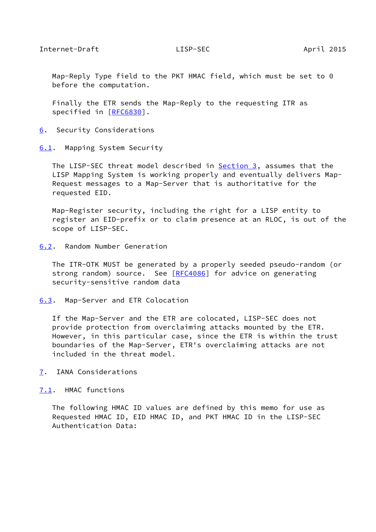<span id="page-17-1"></span> Map-Reply Type field to the PKT HMAC field, which must be set to 0 before the computation.

 Finally the ETR sends the Map-Reply to the requesting ITR as specified in [\[RFC6830](https://datatracker.ietf.org/doc/pdf/rfc6830)].

<span id="page-17-0"></span>[6](#page-17-0). Security Considerations

<span id="page-17-2"></span>[6.1](#page-17-2). Mapping System Security

The LISP-SEC threat model described in **Section 3**, assumes that the LISP Mapping System is working properly and eventually delivers Map- Request messages to a Map-Server that is authoritative for the requested EID.

 Map-Register security, including the right for a LISP entity to register an EID-prefix or to claim presence at an RLOC, is out of the scope of LISP-SEC.

<span id="page-17-3"></span>[6.2](#page-17-3). Random Number Generation

 The ITR-OTK MUST be generated by a properly seeded pseudo-random (or strong random) source. See [\[RFC4086](https://datatracker.ietf.org/doc/pdf/rfc4086)] for advice on generating security-sensitive random data

<span id="page-17-4"></span>[6.3](#page-17-4). Map-Server and ETR Colocation

 If the Map-Server and the ETR are colocated, LISP-SEC does not provide protection from overclaiming attacks mounted by the ETR. However, in this particular case, since the ETR is within the trust boundaries of the Map-Server, ETR's overclaiming attacks are not included in the threat model.

<span id="page-17-5"></span>[7](#page-17-5). IANA Considerations

<span id="page-17-6"></span>[7.1](#page-17-6). HMAC functions

 The following HMAC ID values are defined by this memo for use as Requested HMAC ID, EID HMAC ID, and PKT HMAC ID in the LISP-SEC Authentication Data: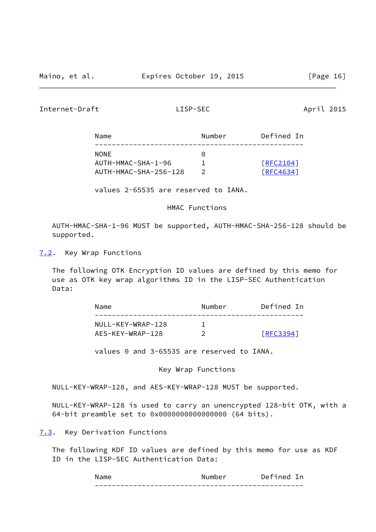<span id="page-18-1"></span>Internet-Draft LISP-SEC April 2015

| Name                  | Number    | Defined In |
|-----------------------|-----------|------------|
| <b>NONE</b>           | $(\cdot)$ |            |
| AUTH-HMAC-SHA-1-96    |           | [REC2104]  |
| AUTH-HMAC-SHA-256-128 |           | [RFC4634]  |

values 2-65535 are reserved to IANA.

HMAC Functions

 AUTH-HMAC-SHA-1-96 MUST be supported, AUTH-HMAC-SHA-256-128 should be supported.

<span id="page-18-0"></span>[7.2](#page-18-0). Key Wrap Functions

 The following OTK Encryption ID values are defined by this memo for use as OTK key wrap algorithms ID in the LISP-SEC Authentication Data:

| Name              | Number | Defined In       |
|-------------------|--------|------------------|
| NULL-KEY-WRAP-128 |        |                  |
| AES-KEY-WRAP-128  |        | <b>FREC33941</b> |

values 0 and 3-65535 are reserved to IANA.

Key Wrap Functions

NULL-KEY-WRAP-128, and AES-KEY-WRAP-128 MUST be supported.

 NULL-KEY-WRAP-128 is used to carry an unencrypted 128-bit OTK, with a 64-bit preamble set to 0x0000000000000000 (64 bits).

<span id="page-18-2"></span>[7.3](#page-18-2). Key Derivation Functions

 The following KDF ID values are defined by this memo for use as KDF ID in the LISP-SEC Authentication Data:

| N                                                         | Nι<br>umber                 | ▃<br>-            |
|-----------------------------------------------------------|-----------------------------|-------------------|
| ___<br>____<br>___<br>_ _ _ _ _ _<br>____<br>-----<br>___ | ______<br>___<br>___<br>___ | __<br>_ _ _ _ _ _ |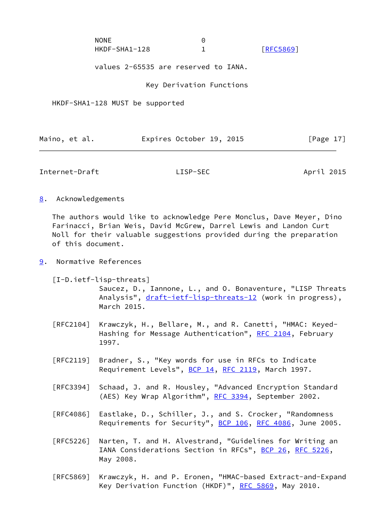| <b>NONE</b>   |                  |
|---------------|------------------|
| HKDF-SHA1-128 | <b>FRFC5869]</b> |

values 2-65535 are reserved to IANA.

Key Derivation Functions

HKDF-SHA1-128 MUST be supported

|  | Maino, et al. |  | Expires October 19, 2015 |  |  | [Page 17] |  |
|--|---------------|--|--------------------------|--|--|-----------|--|
|--|---------------|--|--------------------------|--|--|-----------|--|

<span id="page-19-1"></span>Internet-Draft LISP-SEC April 2015

<span id="page-19-0"></span>[8](#page-19-0). Acknowledgements

 The authors would like to acknowledge Pere Monclus, Dave Meyer, Dino Farinacci, Brian Weis, David McGrew, Darrel Lewis and Landon Curt Noll for their valuable suggestions provided during the preparation of this document.

<span id="page-19-2"></span>[9](#page-19-2). Normative References

<span id="page-19-3"></span> [I-D.ietf-lisp-threats] Saucez, D., Iannone, L., and O. Bonaventure, "LISP Threats Analysis", [draft-ietf-lisp-threats-12](https://datatracker.ietf.org/doc/pdf/draft-ietf-lisp-threats-12) (work in progress), March 2015.

- [RFC2104] Krawczyk, H., Bellare, M., and R. Canetti, "HMAC: Keyed- Hashing for Message Authentication", [RFC 2104](https://datatracker.ietf.org/doc/pdf/rfc2104), February 1997.
- [RFC2119] Bradner, S., "Key words for use in RFCs to Indicate Requirement Levels", [BCP 14](https://datatracker.ietf.org/doc/pdf/bcp14), [RFC 2119](https://datatracker.ietf.org/doc/pdf/rfc2119), March 1997.
- [RFC3394] Schaad, J. and R. Housley, "Advanced Encryption Standard (AES) Key Wrap Algorithm", [RFC 3394](https://datatracker.ietf.org/doc/pdf/rfc3394), September 2002.
- [RFC4086] Eastlake, D., Schiller, J., and S. Crocker, "Randomness Requirements for Security", [BCP 106](https://datatracker.ietf.org/doc/pdf/bcp106), [RFC 4086](https://datatracker.ietf.org/doc/pdf/rfc4086), June 2005.
- [RFC5226] Narten, T. and H. Alvestrand, "Guidelines for Writing an IANA Considerations Section in RFCs", [BCP 26](https://datatracker.ietf.org/doc/pdf/bcp26), [RFC 5226](https://datatracker.ietf.org/doc/pdf/rfc5226), May 2008.
- [RFC5869] Krawczyk, H. and P. Eronen, "HMAC-based Extract-and-Expand Key Derivation Function (HKDF)", [RFC 5869,](https://datatracker.ietf.org/doc/pdf/rfc5869) May 2010.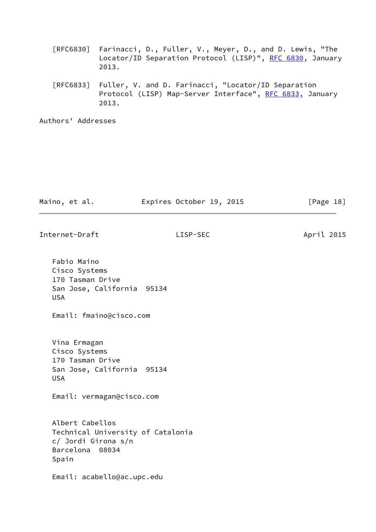| [RFC6830] Farinacci, D., Fuller, V., Meyer, D., and D. Lewis, "The |  |  |  |
|--------------------------------------------------------------------|--|--|--|
| Locator/ID Separation Protocol (LISP)", RFC 6830, January          |  |  |  |
| 2013.                                                              |  |  |  |

 [RFC6833] Fuller, V. and D. Farinacci, "Locator/ID Separation Protocol (LISP) Map-Server Interface", [RFC 6833](https://datatracker.ietf.org/doc/pdf/rfc6833), January 2013.

Authors' Addresses

| Maino, et al.                                                                                           | Expires October 19, 2015 | [Page 18]  |
|---------------------------------------------------------------------------------------------------------|--------------------------|------------|
| Internet-Draft                                                                                          | LISP-SEC                 | April 2015 |
| Fabio Maino<br>Cisco Systems<br>170 Tasman Drive<br>San Jose, California 95134<br><b>USA</b>            |                          |            |
| Email: fmaino@cisco.com                                                                                 |                          |            |
| Vina Ermagan<br>Cisco Systems<br>170 Tasman Drive<br>San Jose, California 95134<br><b>USA</b>           |                          |            |
| Email: vermagan@cisco.com                                                                               |                          |            |
| Albert Cabellos<br>Technical University of Catalonia<br>c/ Jordi Girona s/n<br>Barcelona 08034<br>Spain |                          |            |
| Email: acabello@ac.upc.edu                                                                              |                          |            |